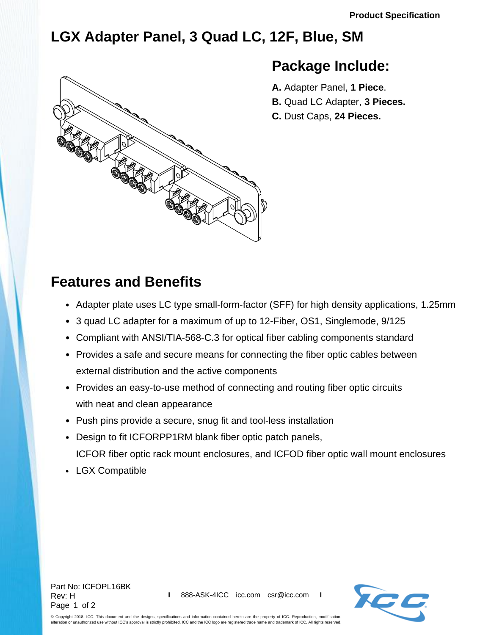# **LGX Adapter Panel, 3 Quad LC, 12F, Blue, SM**



### **Package Include:**

- **A.** Adapter Panel, **1 Piece**.
- **B.** Quad LC Adapter, **3 Pieces.**
- **C.** Dust Caps, **24 Pieces.**

## **Features and Benefits**

- Adapter plate uses LC type small-form-factor (SFF) for high density applications, 1.25mm
- 3 quad LC adapter for a maximum of up to 12-Fiber, OS1, Singlemode, 9/125
- Compliant with ANSI/TIA-568-C.3 for optical fiber cabling components standard
- Provides a safe and secure means for connecting the fiber optic cables between external distribution and the active components
- Provides an easy-to-use method of connecting and routing fiber optic circuits with neat and clean appearance
- Push pins provide a secure, snug fit and tool-less installation
- Design to fit ICFORPP1RM blank fiber optic patch panels, ICFOR fiber optic rack mount enclosures, and ICFOD fiber optic wall mount enclosures
- LGX Compatible





© Copyright 2018, ICC. This document and the designs, specifications and information contained herein are the property of ICC. Reproduction, modification, alteration of the control of the Conservation of the CC and the ICC logo are registered trade name and trademark of ICC. All rights reserved. The only a strictly prohibited. ICC and the ICC logo are registered trade name a